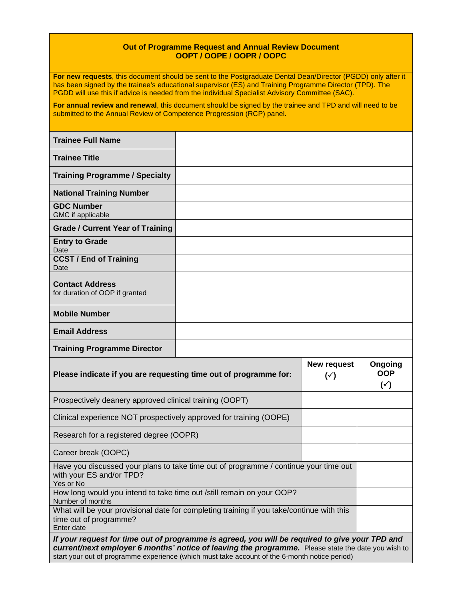## **Out of Programme Request and Annual Review Document OOPT / OOPE / OOPR / OOPC**

**For new requests**, this document should be sent to the Postgraduate Dental Dean/Director (PGDD) only after it has been signed by the trainee's educational supervisor (ES) and Training Programme Director (TPD). The PGDD will use this if advice is needed from the individual Specialist Advisory Committee (SAC).

**For annual review and renewal**, this document should be signed by the trainee and TPD and will need to be submitted to the Annual Review of Competence Progression (RCP) panel.

| <b>Trainee Full Name</b>                                 |  |
|----------------------------------------------------------|--|
| <b>Trainee Title</b>                                     |  |
| <b>Training Programme / Specialty</b>                    |  |
| <b>National Training Number</b>                          |  |
| <b>GDC Number</b><br>GMC if applicable                   |  |
| <b>Grade / Current Year of Training</b>                  |  |
| <b>Entry to Grade</b><br>Date                            |  |
| <b>CCST / End of Training</b><br>Date                    |  |
| <b>Contact Address</b><br>for duration of OOP if granted |  |
| <b>Mobile Number</b>                                     |  |
| <b>Email Address</b>                                     |  |
| <b>Training Programme Director</b>                       |  |

| Please indicate if you are requesting time out of programme for:                                                                                                                                                                                                                                      | New request<br>$(\check{ }')$ | Ongoing<br><b>OOP</b><br>$(\check{y})$ |
|-------------------------------------------------------------------------------------------------------------------------------------------------------------------------------------------------------------------------------------------------------------------------------------------------------|-------------------------------|----------------------------------------|
| Prospectively deanery approved clinical training (OOPT)                                                                                                                                                                                                                                               |                               |                                        |
| Clinical experience NOT prospectively approved for training (OOPE)                                                                                                                                                                                                                                    |                               |                                        |
| Research for a registered degree (OOPR)                                                                                                                                                                                                                                                               |                               |                                        |
| Career break (OOPC)                                                                                                                                                                                                                                                                                   |                               |                                        |
| Have you discussed your plans to take time out of programme / continue your time out<br>with your ES and/or TPD?<br>Yes or No                                                                                                                                                                         |                               |                                        |
| How long would you intend to take time out /still remain on your OOP?<br>Number of months                                                                                                                                                                                                             |                               |                                        |
| What will be your provisional date for completing training if you take/continue with this<br>time out of programme?<br>Enter date                                                                                                                                                                     |                               |                                        |
| If your request for time out of programme is agreed, you will be required to give your TPD and<br>current/next employer 6 months' notice of leaving the programme. Please state the date you wish to<br>start your out of programme experience (which must take account of the 6-month notice period) |                               |                                        |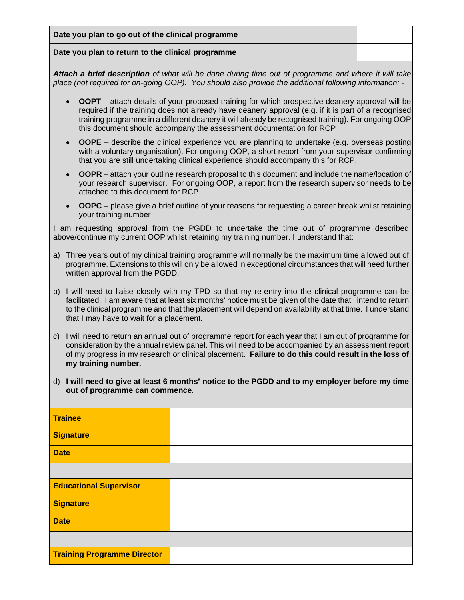**Date you plan to go out of the clinical programme**

## **Date you plan to return to the clinical programme**

*Attach a brief description of what will be done during time out of programme and where it will take place (not required for on-going OOP). You should also provide the additional following information: -*

- **OOPT** attach details of your proposed training for which prospective deanery approval will be required if the training does not already have deanery approval (e.g. if it is part of a recognised training programme in a different deanery it will already be recognised training). For ongoing OOP this document should accompany the assessment documentation for RCP
- **OOPE** describe the clinical experience you are planning to undertake (e.g. overseas posting with a voluntary organisation). For ongoing OOP, a short report from your supervisor confirming that you are still undertaking clinical experience should accompany this for RCP.
- **OOPR** attach your outline research proposal to this document and include the name/location of your research supervisor. For ongoing OOP, a report from the research supervisor needs to be attached to this document for RCP
- **OOPC** please give a brief outline of your reasons for requesting a career break whilst retaining your training number

I am requesting approval from the PGDD to undertake the time out of programme described above/continue my current OOP whilst retaining my training number. I understand that:

- a) Three years out of my clinical training programme will normally be the maximum time allowed out of programme. Extensions to this will only be allowed in exceptional circumstances that will need further written approval from the PGDD.
- b) I will need to liaise closely with my TPD so that my re-entry into the clinical programme can be facilitated. I am aware that at least six months' notice must be given of the date that I intend to return to the clinical programme and that the placement will depend on availability at that time. I understand that I may have to wait for a placement.
- c) I will need to return an annual out of programme report for each **year** that I am out of programme for consideration by the annual review panel. This will need to be accompanied by an assessment report of my progress in my research or clinical placement. **Failure to do this could result in the loss of my training number.**
- d) **I will need to give at least 6 months' notice to the PGDD and to my employer before my time out of programme can commence**.

| <b>Trainee</b>                     |  |
|------------------------------------|--|
| Signature                          |  |
| <b>Date</b>                        |  |
|                                    |  |
| <b>Educational Supervisor</b>      |  |
| Signature                          |  |
| <b>Date</b>                        |  |
|                                    |  |
| <b>Training Programme Director</b> |  |